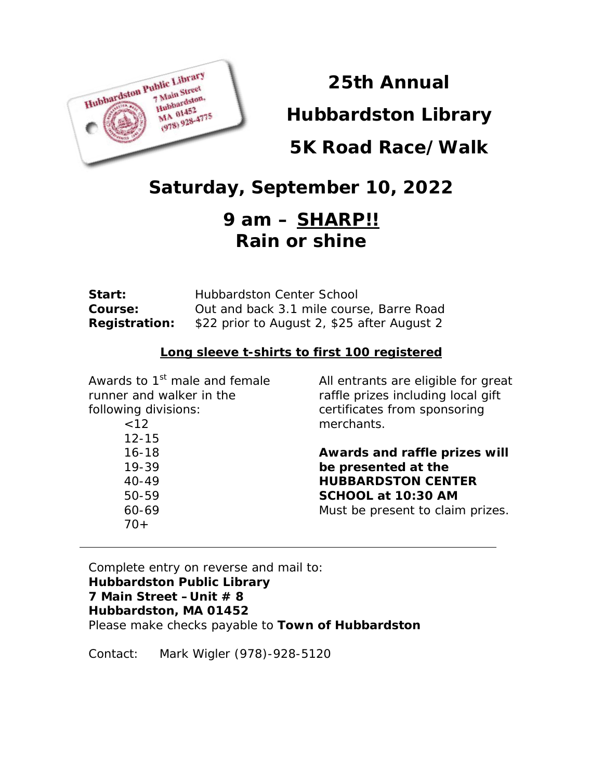

# **25th Annual**

**Hubbardston Library**

## **5K Road Race/Walk**

# **Saturday, September 10, 2022**

## *9 am – SHARP!!* **Rain or shine**

| Start:               | <b>Hubbardston Center School</b>            |
|----------------------|---------------------------------------------|
| <b>Course:</b>       | Out and back 3.1 mile course, Barre Road    |
| <b>Registration:</b> | \$22 prior to August 2, \$25 after August 2 |

### **Long sleeve t-shirts to first 100 registered**

| Awards to 1 <sup>st</sup> male and female | All entrants are eligible for great |
|-------------------------------------------|-------------------------------------|
| runner and walker in the                  | raffle prizes including local gift  |
| following divisions:                      | certificates from sponsoring        |
| <12                                       | merchants.                          |
| $12 - 15$                                 |                                     |
| $16 - 18$                                 | Awards and raffle prizes will       |
| $19 - 39$                                 | be presented at the                 |
| $40 - 49$                                 | <b>HUBBARDSTON CENTER</b>           |
| 50-59                                     | SCHOOL at 10:30 AM                  |
| 60-69                                     | Must be present to claim prizes.    |
| $70+$                                     |                                     |
|                                           |                                     |

### Complete entry on reverse and mail to: **Hubbardston Public Library 7 Main Street –Unit # 8 Hubbardston, MA 01452** Please make checks payable to **Town of Hubbardston**

Contact: Mark Wigler (978)-928-5120